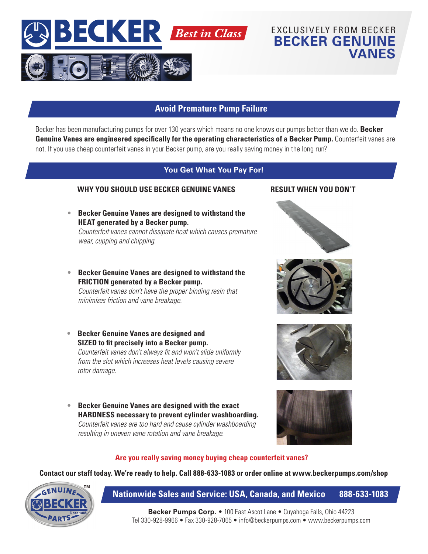

# **Avoid Premature Pump Failure**

Becker has been manufacturing pumps for over 130 years which means no one knows our pumps better than we do. **Becker Genuine Vanes are engineered specifically for the operating characteristics of a Becker Pump.** Counterfeit vanes are not. If you use cheap counterfeit vanes in your Becker pump, are you really saving money in the long run?

## **You Get What You Pay For!**

### **WHY YOU SHOULD USE BECKER GENUINE VANES RESULT WHEN YOU DON'T**

- **Becker Genuine Vanes are designed to withstand the HEAT generated by a Becker pump.** *Counterfeit vanes cannot dissipate heat which causes premature wear, cupping and chipping.*
- **Becker Genuine Vanes are designed to withstand the FRICTION generated by a Becker pump.** *Counterfeit vanes don't have the proper binding resin that minimizes friction and vane breakage.*
- **Becker Genuine Vanes are designed and SIZED to fit precisely into a Becker pump.** *Counterfeit vanes don't always fit and won't slide uniformly from the slot which increases heat levels causing severe rotor damage.*
- **Becker Genuine Vanes are designed with the exact HARDNESS necessary to prevent cylinder washboarding.**  *Counterfeit vanes are too hard and cause cylinder washboarding resulting in uneven vane rotation and vane breakage.*

EXCLUSIVELY FROM BECKER **BECKER GENUINE** 

**VANES**







### **Are you really saving money buying cheap counterfeit vanes?**

**Contact our staff today. We're ready to help. Call 888-633-1083 or order online at www.beckerpumps.com/shop**



## **Nationwide Sales and Service: USA, Canada, and Mexico 888-633-1083**

**Becker Pumps Corp.** • 100 East Ascot Lane • Cuyahoga Falls, Ohio 44223 Tel 330-928-9966 • Fax 330-928-7065 • info@beckerpumps.com • www.beckerpumps.com